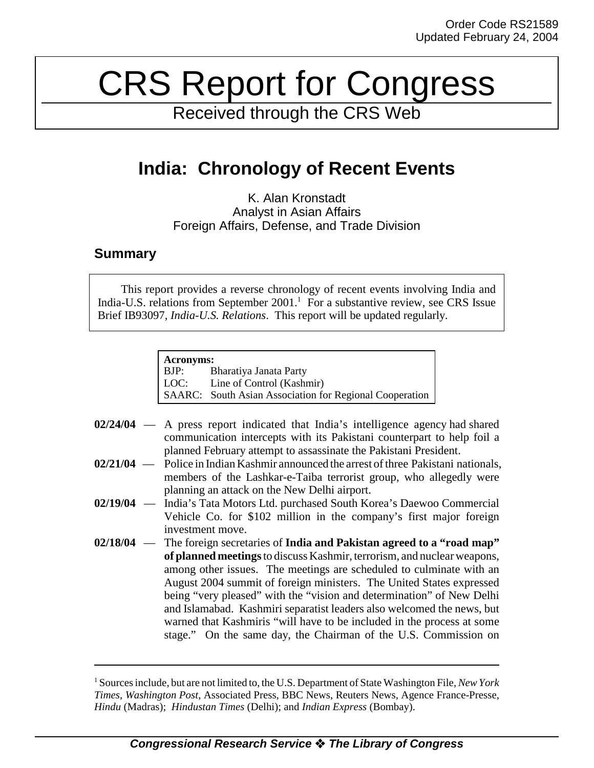## CRS Report for Congress

Received through the CRS Web

## **India: Chronology of Recent Events**

K. Alan Kronstadt Analyst in Asian Affairs Foreign Affairs, Defense, and Trade Division

## **Summary**

This report provides a reverse chronology of recent events involving India and India-U.S. relations from September 2001.<sup>1</sup> For a substantive review, see CRS Issue Brief IB93097, *India-U.S. Relations*. This report will be updated regularly.

## **Acronyms:**

BJP: Bharatiya Janata Party LOC: Line of Control (Kashmir) SAARC: South Asian Association for Regional Cooperation

- **02/24/04** A press report indicated that India's intelligence agency had shared communication intercepts with its Pakistani counterpart to help foil a planned February attempt to assassinate the Pakistani President.
- **02/21/04** Police in Indian Kashmir announced the arrest of three Pakistani nationals, members of the Lashkar-e-Taiba terrorist group, who allegedly were planning an attack on the New Delhi airport.
- **02/19/04** India's Tata Motors Ltd. purchased South Korea's Daewoo Commercial Vehicle Co. for \$102 million in the company's first major foreign investment move.
- **02/18/04** The foreign secretaries of **India and Pakistan agreed to a "road map" of planned meetings** to discuss Kashmir, terrorism, and nuclear weapons, among other issues. The meetings are scheduled to culminate with an August 2004 summit of foreign ministers. The United States expressed being "very pleased" with the "vision and determination" of New Delhi and Islamabad. Kashmiri separatist leaders also welcomed the news, but warned that Kashmiris "will have to be included in the process at some stage." On the same day, the Chairman of the U.S. Commission on

<sup>1</sup> Sources include, but are not limited to, the U.S. Department of State Washington File, *New York Times*, *Washington Post*, Associated Press, BBC News, Reuters News, Agence France-Presse, *Hindu* (Madras); *Hindustan Times* (Delhi); and *Indian Express* (Bombay).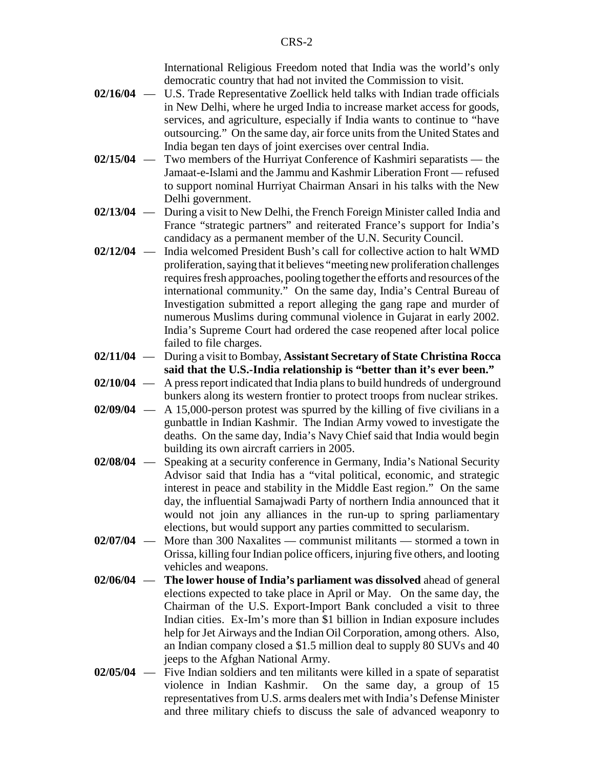International Religious Freedom noted that India was the world's only democratic country that had not invited the Commission to visit.

- **02/16/04** U.S. Trade Representative Zoellick held talks with Indian trade officials in New Delhi, where he urged India to increase market access for goods, services, and agriculture, especially if India wants to continue to "have outsourcing." On the same day, air force units from the United States and India began ten days of joint exercises over central India.
- **02/15/04** Two members of the Hurriyat Conference of Kashmiri separatists the Jamaat-e-Islami and the Jammu and Kashmir Liberation Front — refused to support nominal Hurriyat Chairman Ansari in his talks with the New Delhi government.
- **02/13/04** During a visit to New Delhi, the French Foreign Minister called India and France "strategic partners" and reiterated France's support for India's candidacy as a permanent member of the U.N. Security Council.
- **02/12/04** India welcomed President Bush's call for collective action to halt WMD proliferation, saying that it believes "meeting new proliferation challenges requires fresh approaches, pooling together the efforts and resources of the international community." On the same day, India's Central Bureau of Investigation submitted a report alleging the gang rape and murder of numerous Muslims during communal violence in Gujarat in early 2002. India's Supreme Court had ordered the case reopened after local police failed to file charges.
- **02/11/04** During a visit to Bombay, **Assistant Secretary of State Christina Rocca said that the U.S.-India relationship is "better than it's ever been."**
- **02/10/04** A press report indicated that India plans to build hundreds of underground bunkers along its western frontier to protect troops from nuclear strikes.
- **02/09/04** A 15,000-person protest was spurred by the killing of five civilians in a gunbattle in Indian Kashmir. The Indian Army vowed to investigate the deaths. On the same day, India's Navy Chief said that India would begin building its own aircraft carriers in 2005.
- **02/08/04** Speaking at a security conference in Germany, India's National Security Advisor said that India has a "vital political, economic, and strategic interest in peace and stability in the Middle East region." On the same day, the influential Samajwadi Party of northern India announced that it would not join any alliances in the run-up to spring parliamentary elections, but would support any parties committed to secularism.
- **02/07/04** More than 300 Naxalites communist militants stormed a town in Orissa, killing four Indian police officers, injuring five others, and looting vehicles and weapons.
- **02/06/04 The lower house of India's parliament was dissolved** ahead of general elections expected to take place in April or May. On the same day, the Chairman of the U.S. Export-Import Bank concluded a visit to three Indian cities. Ex-Im's more than \$1 billion in Indian exposure includes help for Jet Airways and the Indian Oil Corporation, among others. Also, an Indian company closed a \$1.5 million deal to supply 80 SUVs and 40 jeeps to the Afghan National Army.
- **02/05/04** Five Indian soldiers and ten militants were killed in a spate of separatist violence in Indian Kashmir. On the same day, a group of 15 representatives from U.S. arms dealers met with India's Defense Minister and three military chiefs to discuss the sale of advanced weaponry to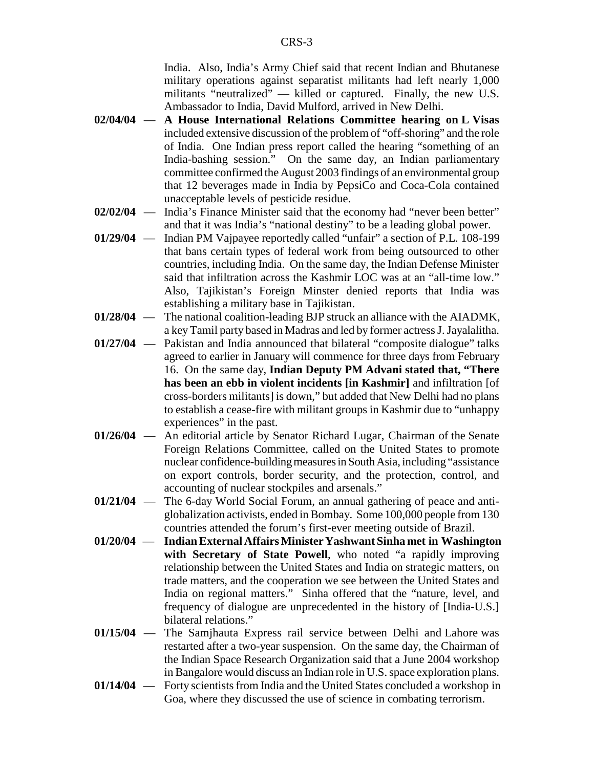India. Also, India's Army Chief said that recent Indian and Bhutanese military operations against separatist militants had left nearly 1,000 militants "neutralized" — killed or captured. Finally, the new U.S. Ambassador to India, David Mulford, arrived in New Delhi.

- **02/04/04 A House International Relations Committee hearing on L Visas** included extensive discussion of the problem of "off-shoring" and the role of India. One Indian press report called the hearing "something of an India-bashing session." On the same day, an Indian parliamentary committee confirmed the August 2003 findings of an environmental group that 12 beverages made in India by PepsiCo and Coca-Cola contained unacceptable levels of pesticide residue.
- **02/02/04** India's Finance Minister said that the economy had "never been better" and that it was India's "national destiny" to be a leading global power.
- **01/29/04** Indian PM Vajpayee reportedly called "unfair" a section of P.L. 108-199 that bans certain types of federal work from being outsourced to other countries, including India. On the same day, the Indian Defense Minister said that infiltration across the Kashmir LOC was at an "all-time low." Also, Tajikistan's Foreign Minster denied reports that India was establishing a military base in Tajikistan.
- **01/28/04** The national coalition-leading BJP struck an alliance with the AIADMK, a key Tamil party based in Madras and led by former actress J. Jayalalitha.
- **01/27/04** Pakistan and India announced that bilateral "composite dialogue" talks agreed to earlier in January will commence for three days from February 16. On the same day, **Indian Deputy PM Advani stated that, "There has been an ebb in violent incidents [in Kashmir]** and infiltration [of cross-borders militants] is down," but added that New Delhi had no plans to establish a cease-fire with militant groups in Kashmir due to "unhappy experiences" in the past.
- **01/26/04** An editorial article by Senator Richard Lugar, Chairman of the Senate Foreign Relations Committee, called on the United States to promote nuclear confidence-building measures in South Asia, including "assistance on export controls, border security, and the protection, control, and accounting of nuclear stockpiles and arsenals."
- **01/21/04** The 6-day World Social Forum, an annual gathering of peace and antiglobalization activists, ended in Bombay. Some 100,000 people from 130 countries attended the forum's first-ever meeting outside of Brazil.
- **01/20/04 Indian External Affairs Minister Yashwant Sinha met in Washington with Secretary of State Powell**, who noted "a rapidly improving relationship between the United States and India on strategic matters, on trade matters, and the cooperation we see between the United States and India on regional matters." Sinha offered that the "nature, level, and frequency of dialogue are unprecedented in the history of [India-U.S.] bilateral relations."
- **01/15/04** The Samjhauta Express rail service between Delhi and Lahore was restarted after a two-year suspension. On the same day, the Chairman of the Indian Space Research Organization said that a June 2004 workshop in Bangalore would discuss an Indian role in U.S. space exploration plans.
- **01/14/04** Forty scientists from India and the United States concluded a workshop in Goa, where they discussed the use of science in combating terrorism.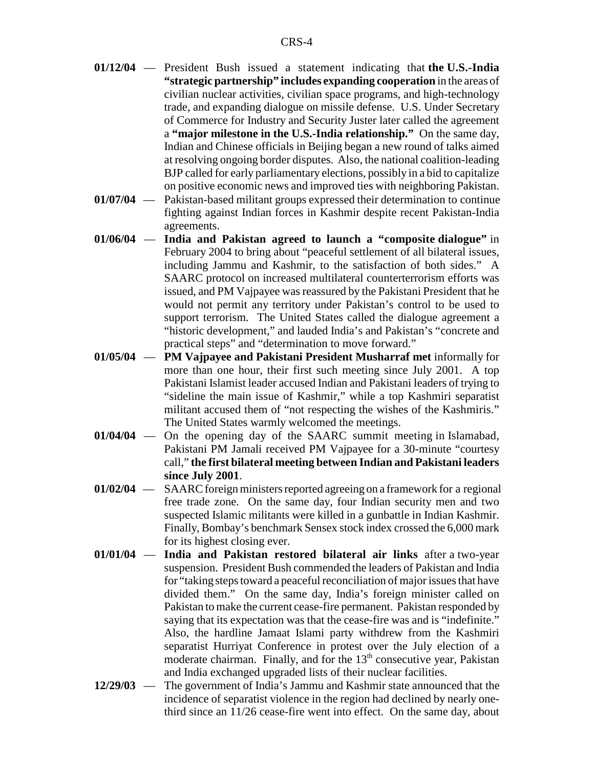- **01/12/04** President Bush issued a statement indicating that **the U.S.-India "strategic partnership" includes expanding cooperation** in the areas of civilian nuclear activities, civilian space programs, and high-technology trade, and expanding dialogue on missile defense. U.S. Under Secretary of Commerce for Industry and Security Juster later called the agreement a **"major milestone in the U.S.-India relationship."** On the same day, Indian and Chinese officials in Beijing began a new round of talks aimed at resolving ongoing border disputes.Also, the national coalition-leading BJP called for early parliamentary elections, possibly in a bid to capitalize on positive economic news and improved ties with neighboring Pakistan.
- **01/07/04** Pakistan-based militant groups expressed their determination to continue fighting against Indian forces in Kashmir despite recent Pakistan-India agreements.
- **01/06/04 India and Pakistan agreed to launch a "composite dialogue"** in February 2004 to bring about "peaceful settlement of all bilateral issues, including Jammu and Kashmir, to the satisfaction of both sides." A SAARC protocol on increased multilateral counterterrorism efforts was issued, and PM Vajpayee was reassured by the Pakistani President that he would not permit any territory under Pakistan's control to be used to support terrorism. The United States called the dialogue agreement a "historic development," and lauded India's and Pakistan's "concrete and practical steps" and "determination to move forward."
- **01/05/04 PM Vajpayee and Pakistani President Musharraf met** informally for more than one hour, their first such meeting since July 2001. A top Pakistani Islamist leader accused Indian and Pakistani leaders of trying to "sideline the main issue of Kashmir," while a top Kashmiri separatist militant accused them of "not respecting the wishes of the Kashmiris." The United States warmly welcomed the meetings.
- **01/04/04** On the opening day of the SAARC summit meeting in Islamabad, Pakistani PM Jamali received PM Vajpayee for a 30-minute "courtesy call," **the first bilateral meeting between Indian and Pakistani leaders since July 2001**.
- **01/02/04** SAARC foreign ministers reported agreeing on a framework for a regional free trade zone. On the same day, four Indian security men and two suspected Islamic militants were killed in a gunbattle in Indian Kashmir. Finally, Bombay's benchmark Sensex stock index crossed the 6,000 mark for its highest closing ever.
- **01/01/04 India and Pakistan restored bilateral air links** after a two-year suspension. President Bush commended the leaders of Pakistan and India for "taking steps toward a peaceful reconciliation of major issues that have divided them." On the same day, India's foreign minister called on Pakistan to make the current cease-fire permanent. Pakistan responded by saying that its expectation was that the cease-fire was and is "indefinite." Also, the hardline Jamaat Islami party withdrew from the Kashmiri separatist Hurriyat Conference in protest over the July election of a moderate chairman. Finally, and for the 13<sup>th</sup> consecutive year, Pakistan and India exchanged upgraded lists of their nuclear facilities.
- **12/29/03** The government of India's Jammu and Kashmir state announced that the incidence of separatist violence in the region had declined by nearly onethird since an 11/26 cease-fire went into effect. On the same day, about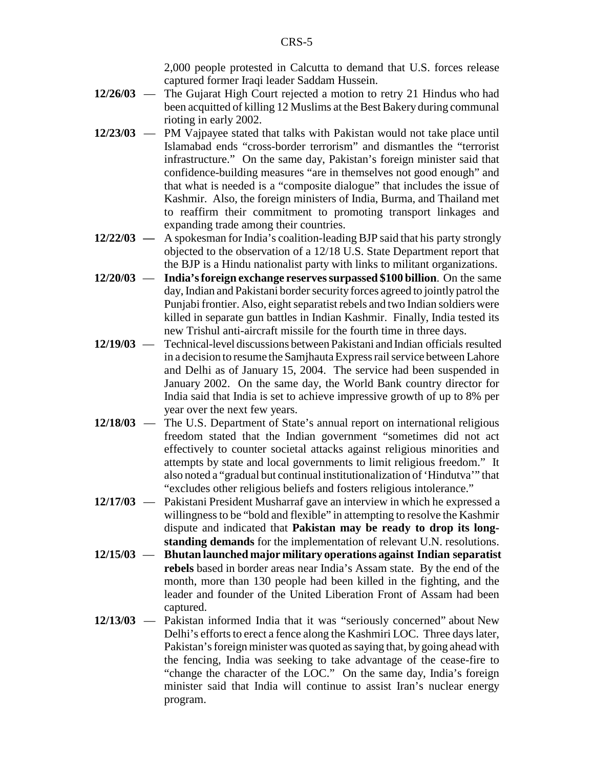2,000 people protested in Calcutta to demand that U.S. forces release captured former Iraqi leader Saddam Hussein.

- **12/26/03** The Gujarat High Court rejected a motion to retry 21 Hindus who had been acquitted of killing 12 Muslims at the Best Bakery during communal rioting in early 2002.
- **12/23/03** PM Vajpayee stated that talks with Pakistan would not take place until Islamabad ends "cross-border terrorism" and dismantles the "terrorist infrastructure." On the same day, Pakistan's foreign minister said that confidence-building measures "are in themselves not good enough" and that what is needed is a "composite dialogue" that includes the issue of Kashmir. Also, the foreign ministers of India, Burma, and Thailand met to reaffirm their commitment to promoting transport linkages and expanding trade among their countries.
- **12/22/03** A spokesman for India's coalition-leading BJP said that his party strongly objected to the observation of a 12/18 U.S. State Department report that the BJP is a Hindu nationalist party with links to militant organizations.
- **12/20/03 India's foreign exchange reserves surpassed \$100 billion**. On the same day, Indian and Pakistani border security forces agreed to jointly patrol the Punjabi frontier. Also, eight separatist rebels and two Indian soldiers were killed in separate gun battles in Indian Kashmir.Finally, India tested its new Trishul anti-aircraft missile for the fourth time in three days.
- **12/19/03** Technical-level discussions between Pakistani and Indian officials resulted in a decision to resume the Samjhauta Express rail service between Lahore and Delhi as of January 15, 2004. The service had been suspended in January 2002. On the same day, the World Bank country director for India said that India is set to achieve impressive growth of up to 8% per year over the next few years.
- **12/18/03** The U.S. Department of State's annual report on international religious freedom stated that the Indian government "sometimes did not act effectively to counter societal attacks against religious minorities and attempts by state and local governments to limit religious freedom." It also noted a "gradual but continual institutionalization of 'Hindutva'" that "excludes other religious beliefs and fosters religious intolerance."
- **12/17/03** Pakistani President Musharraf gave an interview in which he expressed a willingness to be "bold and flexible" in attempting to resolve the Kashmir dispute and indicated that **Pakistan may be ready to drop its longstanding demands** for the implementation of relevant U.N. resolutions.
- **12/15/03 Bhutan launched major military operations against Indian separatist rebels** based in border areas near India's Assam state. By the end of the month, more than 130 people had been killed in the fighting, and the leader and founder of the United Liberation Front of Assam had been captured.
- **12/13/03** Pakistan informed India that it was "seriously concerned" about New Delhi's efforts to erect a fence along the Kashmiri LOC. Three days later, Pakistan's foreign minister was quoted as saying that, by going ahead with the fencing, India was seeking to take advantage of the cease-fire to "change the character of the LOC." On the same day, India's foreign minister said that India will continue to assist Iran's nuclear energy program.